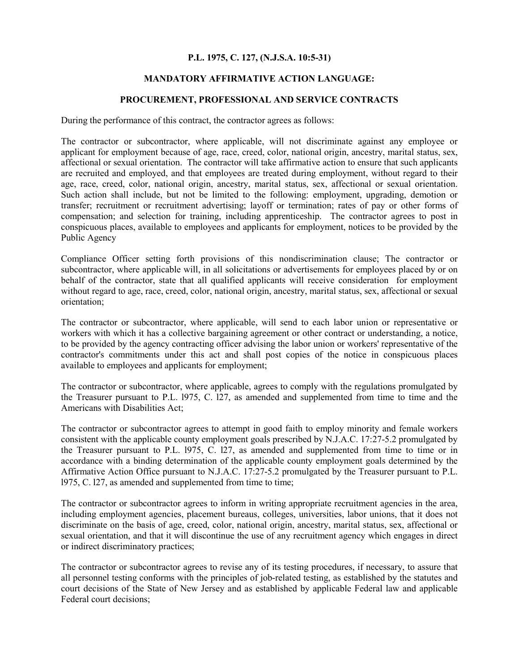# **P.L. 1975, C. 127, (N.J.S.A. 10:5-31)**

# **MANDATORY AFFIRMATIVE ACTION LANGUAGE:**

### **PROCUREMENT, PROFESSIONAL AND SERVICE CONTRACTS**

During the performance of this contract, the contractor agrees as follows:

The contractor or subcontractor, where applicable, will not discriminate against any employee or applicant for employment because of age, race, creed, color, national origin, ancestry, marital status, sex, affectional or sexual orientation. The contractor will take affirmative action to ensure that such applicants are recruited and employed, and that employees are treated during employment, without regard to their age, race, creed, color, national origin, ancestry, marital status, sex, affectional or sexual orientation. Such action shall include, but not be limited to the following: employment, upgrading, demotion or transfer; recruitment or recruitment advertising; layoff or termination; rates of pay or other forms of compensation; and selection for training, including apprenticeship. The contractor agrees to post in conspicuous places, available to employees and applicants for employment, notices to be provided by the Public Agency

Compliance Officer setting forth provisions of this nondiscrimination clause; The contractor or subcontractor, where applicable will, in all solicitations or advertisements for employees placed by or on behalf of the contractor, state that all qualified applicants will receive consideration for employment without regard to age, race, creed, color, national origin, ancestry, marital status, sex, affectional or sexual orientation;

The contractor or subcontractor, where applicable, will send to each labor union or representative or workers with which it has a collective bargaining agreement or other contract or understanding, a notice, to be provided by the agency contracting officer advising the labor union or workers' representative of the contractor's commitments under this act and shall post copies of the notice in conspicuous places available to employees and applicants for employment;

The contractor or subcontractor, where applicable, agrees to comply with the regulations promulgated by the Treasurer pursuant to P.L. l975, C. l27, as amended and supplemented from time to time and the Americans with Disabilities Act;

The contractor or subcontractor agrees to attempt in good faith to employ minority and female workers consistent with the applicable county employment goals prescribed by N.J.A.C. 17:27-5.2 promulgated by the Treasurer pursuant to P.L. l975, C. l27, as amended and supplemented from time to time or in accordance with a binding determination of the applicable county employment goals determined by the Affirmative Action Office pursuant to N.J.A.C. 17:27-5.2 promulgated by the Treasurer pursuant to P.L. l975, C. l27, as amended and supplemented from time to time;

The contractor or subcontractor agrees to inform in writing appropriate recruitment agencies in the area, including employment agencies, placement bureaus, colleges, universities, labor unions, that it does not discriminate on the basis of age, creed, color, national origin, ancestry, marital status, sex, affectional or sexual orientation, and that it will discontinue the use of any recruitment agency which engages in direct or indirect discriminatory practices;

The contractor or subcontractor agrees to revise any of its testing procedures, if necessary, to assure that all personnel testing conforms with the principles of job-related testing, as established by the statutes and court decisions of the State of New Jersey and as established by applicable Federal law and applicable Federal court decisions;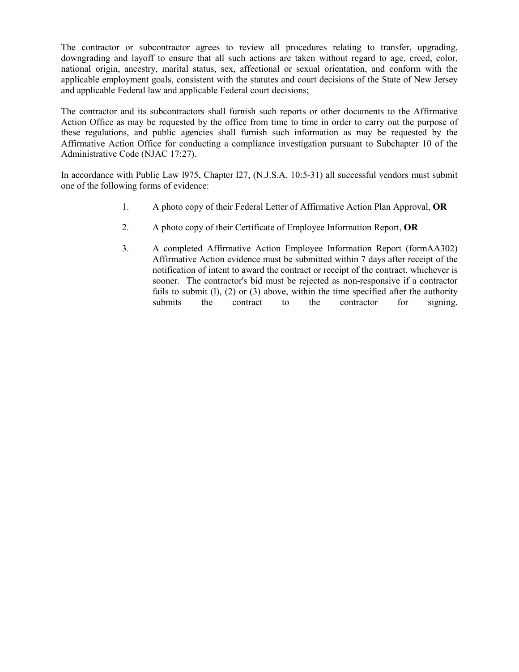The contractor or subcontractor agrees to review all procedures relating to transfer, upgrading, downgrading and layoff to ensure that all such actions are taken without regard to age, creed, color, national origin, ancestry, marital status, sex, affectional or sexual orientation, and conform with the applicable employment goals, consistent with the statutes and court decisions of the State of New Jersey and applicable Federal law and applicable Federal court decisions;

The contractor and its subcontractors shall furnish such reports or other documents to the Affirmative Action Office as may be requested by the office from time to time in order to carry out the purpose of these regulations, and public agencies shall furnish such information as may be requested by the Affirmative Action Office for conducting a compliance investigation pursuant to Subchapter 10 of the Administrative Code (NJAC 17:27).

In accordance with Public Law l975, Chapter l27, (N.J.S.A. 10:5-31) all successful vendors must submit one of the following forms of evidence:

- 1. A photo copy of their Federal Letter of Affirmative Action Plan Approval, **OR**
- 2. A photo copy of their Certificate of Employee Information Report, **OR**
- 3. A completed Affirmative Action Employee Information Report (formAA302) Affirmative Action evidence must be submitted within 7 days after receipt of the notification of intent to award the contract or receipt of the contract, whichever is sooner. The contractor's bid must be rejected as non-responsive if a contractor fails to submit  $(1)$ ,  $(2)$  or  $(3)$  above, within the time specified after the authority submits the contract to the contractor for signing.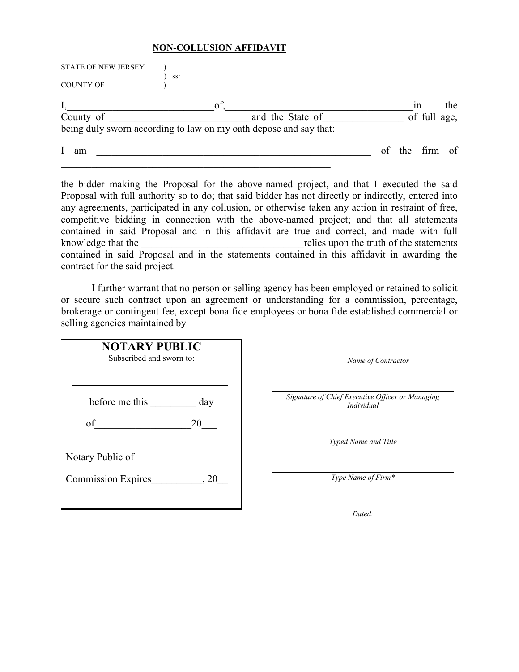# **NON-COLLUSION AFFIDAVIT**

| <b>STATE OF NEW JERSEY</b> |                                                                   |                |              |     |
|----------------------------|-------------------------------------------------------------------|----------------|--------------|-----|
| <b>COUNTY OF</b>           | SS:                                                               |                |              |     |
|                            | of.                                                               |                | 1n           | the |
| County of                  | and the State of                                                  |                | of full age, |     |
|                            | being duly sworn according to law on my oath depose and say that: |                |              |     |
| am                         |                                                                   | of the firm of |              |     |

the bidder making the Proposal for the above-named project, and that I executed the said Proposal with full authority so to do; that said bidder has not directly or indirectly, entered into any agreements, participated in any collusion, or otherwise taken any action in restraint of free, competitive bidding in connection with the above-named project; and that all statements contained in said Proposal and in this affidavit are true and correct, and made with full knowledge that the  $\Box$ contained in said Proposal and in the statements contained in this affidavit in awarding the contract for the said project.

I further warrant that no person or selling agency has been employed or retained to solicit or secure such contract upon an agreement or understanding for a commission, percentage, brokerage or contingent fee, except bona fide employees or bona fide established commercial or selling agencies maintained by

| <b>NOTARY PUBLIC</b>              |                                                                       |
|-----------------------------------|-----------------------------------------------------------------------|
| Subscribed and sworn to:          | Name of Contractor                                                    |
|                                   |                                                                       |
| before me this<br>day             | Signature of Chief Executive Officer or Managing<br><i>Individual</i> |
| of<br>20                          |                                                                       |
|                                   | Typed Name and Title                                                  |
| Notary Public of                  |                                                                       |
| <b>Commission Expires</b><br>, 20 | Type Name of Firm*                                                    |
|                                   |                                                                       |

*Dated:*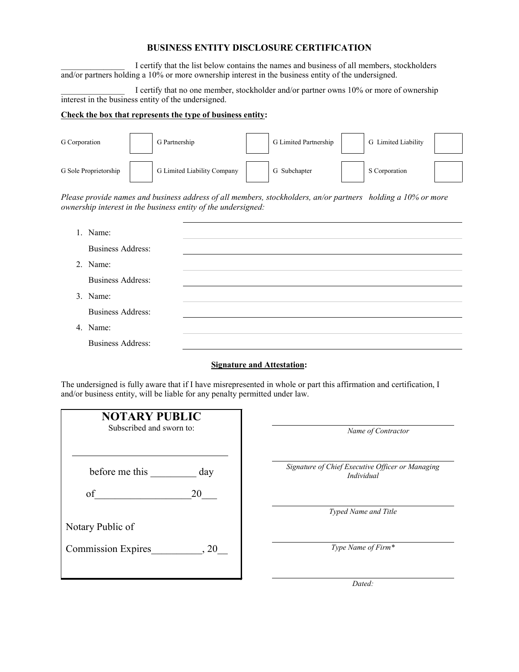## **BUSINESS ENTITY DISCLOSURE CERTIFICATION**

I certify that the list below contains the names and business of all members, stockholders and/or partners holding a 10% or more ownership interest in the business entity of the undersigned.

I certify that no one member, stockholder and/or partner owns 10% or more of ownership interest in the business entity of the undersigned.

## **Check the box that represents the type of business entity:**

| G Corporation         | G Partnership               | G Limited Partnership | G Limited Liability |  |
|-----------------------|-----------------------------|-----------------------|---------------------|--|
| G Sole Proprietorship | G Limited Liability Company | G Subchapter          | S Corporation       |  |

*Please provide names and business address of all members, stockholders, an/or partners holding a 10% or more ownership interest in the business entity of the undersigned:*

| 1. Name:                 |  |
|--------------------------|--|
| <b>Business Address:</b> |  |
| 2. Name:                 |  |
| <b>Business Address:</b> |  |
| 3. Name:                 |  |
| <b>Business Address:</b> |  |
| 4. Name:                 |  |
| <b>Business Address:</b> |  |

### **Signature and Attestation:**

The undersigned is fully aware that if I have misrepresented in whole or part this affirmation and certification, I and/or business entity, will be liable for any penalty permitted under law.

| <b>NOTARY PUBLIC</b><br>Subscribed and sworn to: |      |  |  |
|--------------------------------------------------|------|--|--|
| before me this                                   | day  |  |  |
| of                                               | 20   |  |  |
| Notary Public of                                 |      |  |  |
| <b>Commission Expires</b>                        | . 20 |  |  |
|                                                  |      |  |  |

*Name of Contractor Signature of Chief Executive Officer or Managing Individual*

*Typed Name and Title*

*Type Name of Firm\**

*Dated:*